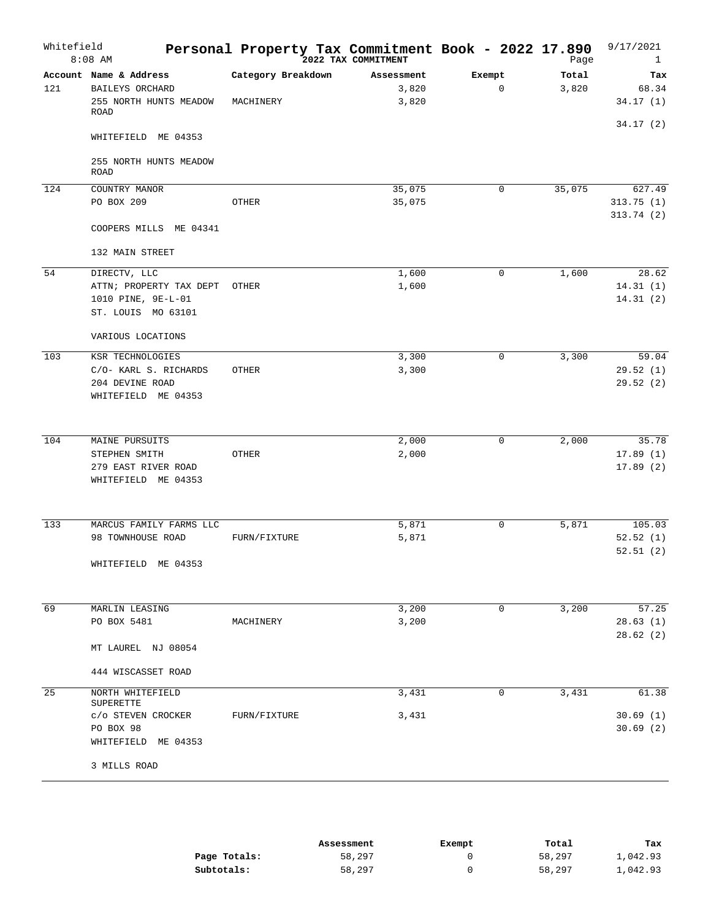| Whitefield | $8:08$ AM                                                                          | Personal Property Tax Commitment Book - 2022 17.890 | 2022 TAX COMMITMENT          |                       | Page           | 9/17/2021<br>$\mathbf{1}$ |
|------------|------------------------------------------------------------------------------------|-----------------------------------------------------|------------------------------|-----------------------|----------------|---------------------------|
| 121        | Account Name & Address<br>BAILEYS ORCHARD<br>255 NORTH HUNTS MEADOW<br><b>ROAD</b> | Category Breakdown<br>MACHINERY                     | Assessment<br>3,820<br>3,820 | Exempt<br>$\mathbf 0$ | Total<br>3,820 | Tax<br>68.34<br>34.17(1)  |
|            | WHITEFIELD ME 04353                                                                |                                                     |                              |                       |                | 34.17(2)                  |
|            | 255 NORTH HUNTS MEADOW<br><b>ROAD</b>                                              |                                                     |                              |                       |                |                           |
| 124        | COUNTRY MANOR                                                                      |                                                     | 35,075                       | 0                     | 35,075         | 627.49                    |
|            | PO BOX 209                                                                         | OTHER                                               | 35,075                       |                       |                | 313.75(1)<br>313.74(2)    |
|            | COOPERS MILLS ME 04341                                                             |                                                     |                              |                       |                |                           |
|            | 132 MAIN STREET                                                                    |                                                     |                              |                       |                |                           |
| 54         | DIRECTV, LLC                                                                       |                                                     | 1,600                        | $\mathbf 0$           | 1,600          | 28.62                     |
|            | ATTN; PROPERTY TAX DEPT                                                            | OTHER                                               | 1,600                        |                       |                | 14.31(1)                  |
|            | 1010 PINE, 9E-L-01<br>ST. LOUIS MO 63101                                           |                                                     |                              |                       |                | 14.31(2)                  |
|            | VARIOUS LOCATIONS                                                                  |                                                     |                              |                       |                |                           |
| 103        | KSR TECHNOLOGIES                                                                   |                                                     | 3,300                        | $\mathbf 0$           | 3,300          | 59.04                     |
|            | C/O- KARL S. RICHARDS                                                              | OTHER                                               | 3,300                        |                       |                | 29.52(1)                  |
|            | 204 DEVINE ROAD                                                                    |                                                     |                              |                       |                | 29.52(2)                  |
|            | WHITEFIELD ME 04353                                                                |                                                     |                              |                       |                |                           |
| 104        | MAINE PURSUITS                                                                     |                                                     | 2,000                        | $\mathbf 0$           | 2,000          | 35.78                     |
|            | STEPHEN SMITH                                                                      | OTHER                                               | 2,000                        |                       |                | 17.89(1)                  |
|            | 279 EAST RIVER ROAD                                                                |                                                     |                              |                       |                | 17.89(2)                  |
|            | WHITEFIELD ME 04353                                                                |                                                     |                              |                       |                |                           |
| 133        | MARCUS FAMILY FARMS LLC                                                            |                                                     | 5,871                        | 0                     | 5,871          | 105.03                    |
|            | 98 TOWNHOUSE ROAD                                                                  | FURN/FIXTURE                                        | 5,871                        |                       |                | 52.52(1)                  |
|            | WHITEFIELD ME 04353                                                                |                                                     |                              |                       |                | 52.51(2)                  |
|            |                                                                                    |                                                     |                              |                       |                |                           |
| 69         | MARLIN LEASING<br>PO BOX 5481                                                      | MACHINERY                                           | 3,200<br>3,200               | 0                     | 3,200          | 57.25<br>28.63(1)         |
|            |                                                                                    |                                                     |                              |                       |                | 28.62(2)                  |
|            | MT LAUREL NJ 08054                                                                 |                                                     |                              |                       |                |                           |
|            | 444 WISCASSET ROAD                                                                 |                                                     |                              |                       |                |                           |
| 25         | NORTH WHITEFIELD<br>SUPERETTE                                                      |                                                     | 3,431                        | 0                     | 3,431          | 61.38                     |
|            | c/o STEVEN CROCKER                                                                 | FURN/FIXTURE                                        | 3,431                        |                       |                | 30.69(1)                  |
|            | PO BOX 98<br>WHITEFIELD ME 04353                                                   |                                                     |                              |                       |                | 30.69(2)                  |
|            | 3 MILLS ROAD                                                                       |                                                     |                              |                       |                |                           |

|              | Assessment | Exempt | Total  | Tax      |
|--------------|------------|--------|--------|----------|
| Page Totals: | 58,297     |        | 58,297 | 1,042.93 |
| Subtotals:   | 58,297     |        | 58,297 | 1,042.93 |